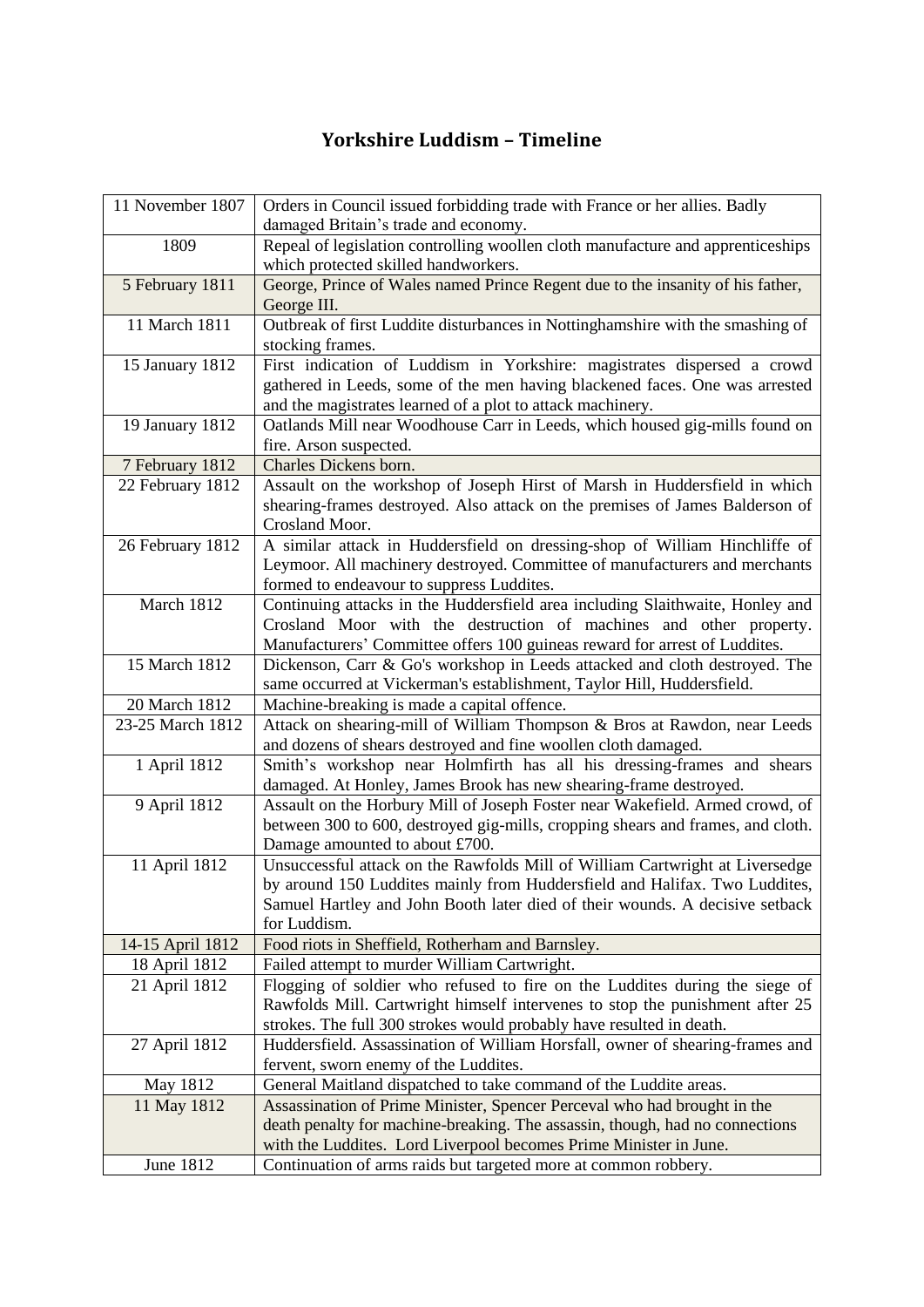## **Yorkshire Luddism – Timeline**

| 11 November 1807 | Orders in Council issued forbidding trade with France or her allies. Badly                                                                                 |
|------------------|------------------------------------------------------------------------------------------------------------------------------------------------------------|
|                  | damaged Britain's trade and economy.                                                                                                                       |
| 1809             | Repeal of legislation controlling woollen cloth manufacture and apprenticeships<br>which protected skilled handworkers.                                    |
| 5 February 1811  | George, Prince of Wales named Prince Regent due to the insanity of his father,                                                                             |
|                  | George III.                                                                                                                                                |
| 11 March 1811    | Outbreak of first Luddite disturbances in Nottinghamshire with the smashing of                                                                             |
|                  | stocking frames.                                                                                                                                           |
| 15 January 1812  | First indication of Luddism in Yorkshire: magistrates dispersed a crowd                                                                                    |
|                  | gathered in Leeds, some of the men having blackened faces. One was arrested                                                                                |
|                  | and the magistrates learned of a plot to attack machinery.                                                                                                 |
| 19 January 1812  | Oatlands Mill near Woodhouse Carr in Leeds, which housed gig-mills found on                                                                                |
|                  | fire. Arson suspected.                                                                                                                                     |
| 7 February 1812  | Charles Dickens born.                                                                                                                                      |
| 22 February 1812 | Assault on the workshop of Joseph Hirst of Marsh in Huddersfield in which                                                                                  |
|                  | shearing-frames destroyed. Also attack on the premises of James Balderson of                                                                               |
|                  | Crosland Moor.                                                                                                                                             |
| 26 February 1812 | A similar attack in Huddersfield on dressing-shop of William Hinchliffe of                                                                                 |
|                  | Leymoor. All machinery destroyed. Committee of manufacturers and merchants                                                                                 |
|                  | formed to endeavour to suppress Luddites.                                                                                                                  |
| March 1812       | Continuing attacks in the Huddersfield area including Slaithwaite, Honley and                                                                              |
|                  | Crosland Moor with the destruction of machines and other property.                                                                                         |
|                  | Manufacturers' Committee offers 100 guineas reward for arrest of Luddites.                                                                                 |
| 15 March 1812    | Dickenson, Carr & Go's workshop in Leeds attacked and cloth destroyed. The                                                                                 |
|                  | same occurred at Vickerman's establishment, Taylor Hill, Huddersfield.                                                                                     |
| 20 March 1812    | Machine-breaking is made a capital offence.                                                                                                                |
| 23-25 March 1812 | Attack on shearing-mill of William Thompson & Bros at Rawdon, near Leeds                                                                                   |
|                  | and dozens of shears destroyed and fine woollen cloth damaged.                                                                                             |
| 1 April 1812     | Smith's workshop near Holmfirth has all his dressing-frames and shears                                                                                     |
|                  | damaged. At Honley, James Brook has new shearing-frame destroyed.                                                                                          |
| 9 April 1812     | Assault on the Horbury Mill of Joseph Foster near Wakefield. Armed crowd, of                                                                               |
|                  | between 300 to 600, destroyed gig-mills, cropping shears and frames, and cloth.                                                                            |
|                  | Damage amounted to about £700.                                                                                                                             |
| 11 April 1812    | Unsuccessful attack on the Rawfolds Mill of William Cartwright at Liversedge                                                                               |
|                  | by around 150 Luddites mainly from Huddersfield and Halifax. Two Luddites,<br>Samuel Hartley and John Booth later died of their wounds. A decisive setback |
|                  | for Luddism.                                                                                                                                               |
| 14-15 April 1812 | Food riots in Sheffield, Rotherham and Barnsley.                                                                                                           |
| 18 April 1812    | Failed attempt to murder William Cartwright.                                                                                                               |
| 21 April 1812    | Flogging of soldier who refused to fire on the Luddites during the siege of                                                                                |
|                  | Rawfolds Mill. Cartwright himself intervenes to stop the punishment after 25                                                                               |
|                  | strokes. The full 300 strokes would probably have resulted in death.                                                                                       |
| 27 April 1812    | Huddersfield. Assassination of William Horsfall, owner of shearing-frames and                                                                              |
|                  | fervent, sworn enemy of the Luddites.                                                                                                                      |
| May 1812         | General Maitland dispatched to take command of the Luddite areas.                                                                                          |
| 11 May 1812      | Assassination of Prime Minister, Spencer Perceval who had brought in the                                                                                   |
|                  | death penalty for machine-breaking. The assassin, though, had no connections                                                                               |
|                  | with the Luddites. Lord Liverpool becomes Prime Minister in June.                                                                                          |
| <b>June 1812</b> | Continuation of arms raids but targeted more at common robbery.                                                                                            |